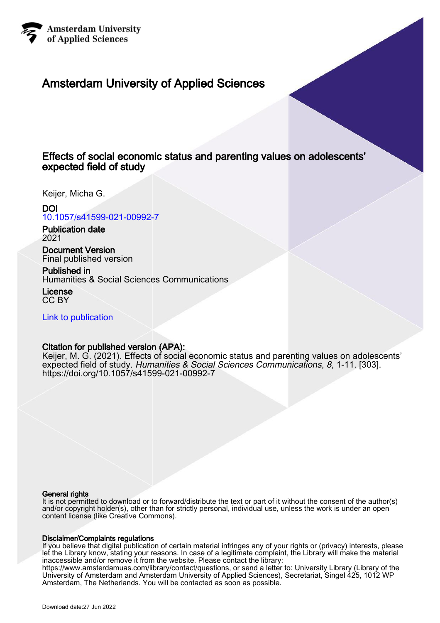

# Amsterdam University of Applied Sciences

# Effects of social economic status and parenting values on adolescents' expected field of study

Keijer, Micha G.

# DOI

[10.1057/s41599-021-00992-7](https://doi.org/10.1057/s41599-021-00992-7)

Publication date 2021

Document Version Final published version

Published in Humanities & Social Sciences Communications

License CC BY

[Link to publication](https://research.hva.nl/en/publications/15dc53de-0fd9-4eed-bb55-0ca48011ac38)

# Citation for published version (APA):

Keijer, M. G. (2021). Effects of social economic status and parenting values on adolescents' expected field of study. Humanities & Social Sciences Communications, 8, 1-11. [303]. <https://doi.org/10.1057/s41599-021-00992-7>

# General rights

It is not permitted to download or to forward/distribute the text or part of it without the consent of the author(s) and/or copyright holder(s), other than for strictly personal, individual use, unless the work is under an open content license (like Creative Commons).

# Disclaimer/Complaints regulations

If you believe that digital publication of certain material infringes any of your rights or (privacy) interests, please let the Library know, stating your reasons. In case of a legitimate complaint, the Library will make the material inaccessible and/or remove it from the website. Please contact the library:

https://www.amsterdamuas.com/library/contact/questions, or send a letter to: University Library (Library of the University of Amsterdam and Amsterdam University of Applied Sciences), Secretariat, Singel 425, 1012 WP Amsterdam, The Netherlands. You will be contacted as soon as possible.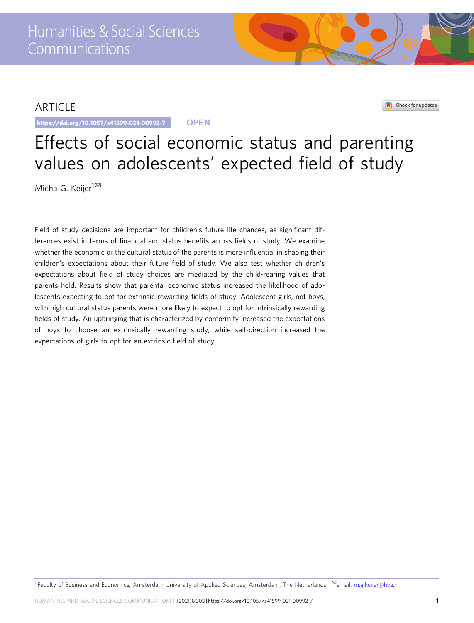# ARTICLE

https://doi.org/10.1057/s41599-021-00992-7 **OPEN**

## Check for updates

# Effects of social economic status and parenting values on adolescents' expected field of study

Micha G. Keijer<sup>1⊠</sup>

Field of study decisions are important for children's future life chances, as significant differences exist in terms of financial and status benefits across fields of study. We examine whether the economic or the cultural status of the parents is more influential in shaping their children's expectations about their future field of study. We also test whether children's expectations about field of study choices are mediated by the child-rearing values that parents hold. Results show that parental economic status increased the likelihood of adolescents expecting to opt for extrinsic rewarding fields of study. Adolescent girls, not boys, with high cultural status parents were more likely to expect to opt for intrinsically rewarding fields of study. An upbringing that is characterized by conformity increased the expectations of boys to choose an extrinsically rewarding study, while self-direction increased the expectations of girls to opt for an extrinsic field of study

1 Faculty of Business and Economics, Amsterdam University of Applied Sciences, Amsterdam, The Netherlands. <sup>⊠</sup>email: [m.g.keijer@hva.nl](mailto:m.g.keijer@hva.nl)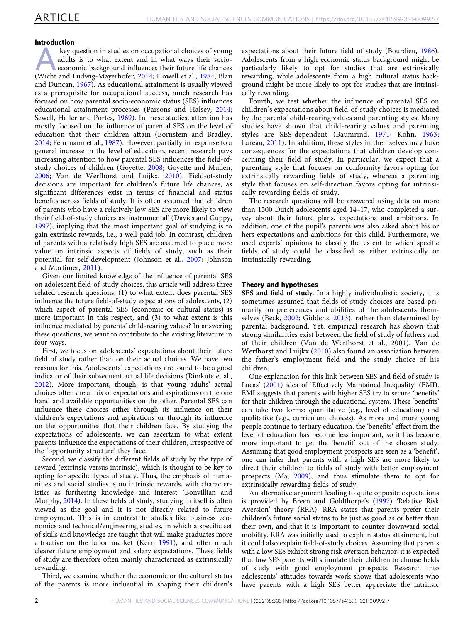### Introduction

key question in studies on occupational choices of young<br>adults is to what extent and in what ways their socio-<br>economic background influences their future life chances<br>(Wicht and Ludwig-Mayerhofer 2014: Howell et al., 198 adults is to what extent and in what ways their socio-(Wicht and Ludwig-Mayerhofer, [2014;](#page-11-0) Howell et al., [1984](#page-10-0); Blau and Duncan, [1967](#page-10-0)). As educational attainment is usually viewed as a prerequisite for occupational success, much research has focused on how parental socio-economic status (SES) influences educational attainment processes (Parsons and Halsey, [2014;](#page-10-0) Sewell, Haller and Portes, [1969\)](#page-11-0). In these studies, attention has mostly focused on the influence of parental SES on the level of education that their children attain (Bornstein and Bradley, [2014](#page-10-0); Fehrmann et al., [1987](#page-10-0)). However, partially in response to a general increase in the level of education, recent research pays increasing attention to how parental SES influences the field-ofstudy choices of children (Goyette, [2008](#page-10-0); Goyette and Mullen, [2006](#page-10-0); Van de Werfhorst and Luijkx, [2010](#page-11-0)). Field-of-study decisions are important for children's future life chances, as significant differences exist in terms of financial and status benefits across fields of study. It is often assumed that children of parents who have a relatively low SES are more likely to view their field-of-study choices as 'instrumental' (Davies and Guppy, [1997](#page-10-0)), implying that the most important goal of studying is to gain extrinsic rewards, i.e., a well-paid job. In contrast, children of parents with a relatively high SES are assumed to place more value on intrinsic aspects of fields of study, such as their potential for self-development (Johnson et al., [2007](#page-10-0); Johnson and Mortimer, [2011\)](#page-10-0).

Given our limited knowledge of the influence of parental SES on adolescent field-of-study choices, this article will address three related research questions: (1) to what extent does parental SES influence the future field-of-study expectations of adolescents, (2) which aspect of parental SES (economic or cultural status) is more important in this respect, and (3) to what extent is this influence mediated by parents' child-rearing values? In answering these questions, we want to contribute to the existing literature in four ways.

First, we focus on adolescents' expectations about their future field of study rather than on their actual choices. We have two reasons for this. Adolescents' expectations are found to be a good indicator of their subsequent actual life decisions (Rimkute et al., [2012\)](#page-10-0). More important, though, is that young adults' actual choices often are a mix of expectations and aspirations on the one hand and available opportunities on the other. Parental SES can influence these choices either through its influence on their children's expectations and aspirations or through its influence on the opportunities that their children face. By studying the expectations of adolescents, we can ascertain to what extent parents influence the expectations of their children, irrespective of the 'opportunity structure' they face.

Second, we classify the different fields of study by the type of reward (extrinsic versus intrinsic), which is thought to be key to opting for specific types of study. Thus, the emphasis of humanities and social studies is on intrinsic rewards, with characteristics as furthering knowledge and interest (Bonvillian and Murphy, [2014\)](#page-10-0). In these fields of study, studying in itself is often viewed as the goal and it is not directly related to future employment. This is in contrast to studies like business economics and technical/engineering studies, in which a specific set of skills and knowledge are taught that will make graduates more attractive on the labor market (Kerr, [1991\)](#page-10-0), and offer much clearer future employment and salary expectations. These fields of study are therefore often mainly characterized as extrinsically rewarding.

Third, we examine whether the economic or the cultural status of the parents is more influential in shaping their children's expectations about their future field of study (Bourdieu, [1986](#page-10-0)). Adolescents from a high economic status background might be particularly likely to opt for studies that are extrinsically rewarding, while adolescents from a high cultural status background might be more likely to opt for studies that are intrinsically rewarding.

Fourth, we test whether the influence of parental SES on children's expectations about field-of-study choices is mediated by the parents' child-rearing values and parenting styles. Many studies have shown that child-rearing values and parenting styles are SES-dependent (Baumrind, [1971;](#page-10-0) Kohn, [1963;](#page-10-0) Lareau, [2011](#page-10-0)). In addition, these styles in themselves may have consequences for the expectations that children develop concerning their field of study. In particular, we expect that a parenting style that focuses on conformity favors opting for extrinsically rewarding fields of study, whereas a parenting style that focuses on self-direction favors opting for intrinsically rewarding fields of study.

The research questions will be answered using data on more than 1500 Dutch adolescents aged 14–17, who completed a survey about their future plans, expectations and ambitions. In addition, one of the pupil's parents was also asked about his or hers expectations and ambitions for this child. Furthermore, we used experts' opinions to classify the extent to which specific fields of study could be classified as either extrinsically or intrinsically rewarding.

#### Theory and hypotheses

SES and field of study. In a highly individualistic society, it is sometimes assumed that fields-of-study choices are based primarily on preferences and abilities of the adolescents themselves (Beck, [2002](#page-10-0); Giddens, [2013\)](#page-10-0), rather than determined by parental background. Yet, empirical research has shown that strong similarities exist between the field of study of fathers and of their children (Van de Werfhorst et al., 2001). Van de Werfhorst and Luijkx ([2010\)](#page-11-0) also found an association between the father's employment field and the study choice of his children.

One explanation for this link between SES and field of study is Lucas' [\(2001](#page-10-0)) idea of 'Effectively Maintained Inequality' (EMI). EMI suggests that parents with higher SES try to secure 'benefits' for their children through the educational system. These 'benefits' can take two forms: quantitative (e.g., level of education) and qualitative (e.g., curriculum choices). As more and more young people continue to tertiary education, the 'benefits' effect from the level of education has become less important, so it has become more important to get the 'benefit' out of the chosen study. Assuming that good employment prospects are seen as a 'benefit', one can infer that parents with a high SES are more likely to direct their children to fields of study with better employment prospects (Ma, [2009\)](#page-10-0), and thus stimulate them to opt for extrinsically rewarding fields of study.

An alternative argument leading to quite opposite expectations is provided by Breen and Goldthorpe's ([1997\)](#page-10-0) 'Relative Risk Aversion' theory (RRA). RRA states that parents prefer their children's future social status to be just as good as or better than their own, and that it is important to counter downward social mobility. RRA was initially used to explain status attainment, but it could also explain field-of-study choices. Assuming that parents with a low SES exhibit strong risk aversion behavior, it is expected that low SES parents will stimulate their children to choose fields of study with good employment prospects. Research into adolescents' attitudes towards work shows that adolescents who have parents with a high SES better appreciate the intrinsic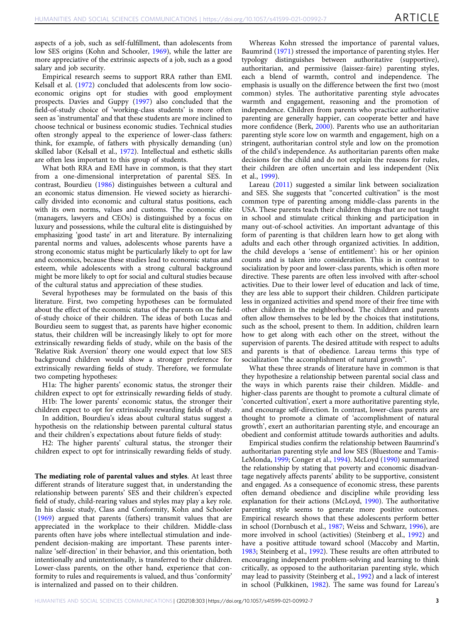aspects of a job, such as self-fulfillment, than adolescents from low SES origins (Kohn and Schooler, [1969](#page-10-0)), while the latter are more appreciative of the extrinsic aspects of a job, such as a good salary and job security.

Empirical research seems to support RRA rather than EMI. Kelsall et al. ([1972\)](#page-10-0) concluded that adolescents from low socioeconomic origins opt for studies with good employment prospects. Davies and Guppy ([1997](#page-10-0)) also concluded that the field-of-study choice of 'working-class students' is more often seen as 'instrumental' and that these students are more inclined to choose technical or business economic studies. Technical studies often strongly appeal to the experience of lower-class fathers: think, for example, of fathers with physically demanding (un) skilled labor (Kelsall et al., [1972\)](#page-10-0). Intellectual and esthetic skills are often less important to this group of students.

What both RRA and EMI have in common, is that they start from a one-dimensional interpretation of parental SES. In contrast, Bourdieu ([1986\)](#page-10-0) distinguishes between a cultural and an economic status dimension. He viewed society as hierarchically divided into economic and cultural status positions, each with its own norms, values and customs. The economic elite (managers, lawyers and CEOs) is distinguished by a focus on luxury and possessions, while the cultural elite is distinguished by emphasizing 'good taste' in art and literature. By internalizing parental norms and values, adolescents whose parents have a strong economic status might be particularly likely to opt for law and economics, because these studies lead to economic status and esteem, while adolescents with a strong cultural background might be more likely to opt for social and cultural studies because of the cultural status and appreciation of these studies.

Several hypotheses may be formulated on the basis of this literature. First, two competing hypotheses can be formulated about the effect of the economic status of the parents on the fieldof-study choice of their children. The ideas of both Lucas and Bourdieu seem to suggest that, as parents have higher economic status, their children will be increasingly likely to opt for more extrinsically rewarding fields of study, while on the basis of the 'Relative Risk Aversion' theory one would expect that low SES background children would show a stronger preference for extrinsically rewarding fields of study. Therefore, we formulate two competing hypotheses:

H1a: The higher parents' economic status, the stronger their children expect to opt for extrinsically rewarding fields of study.

H1b: The lower parents' economic status, the stronger their children expect to opt for extrinsically rewarding fields of study. In addition, Bourdieu's ideas about cultural status suggest a

hypothesis on the relationship between parental cultural status and their children's expectations about future fields of study:

H2: The higher parents' cultural status, the stronger their children expect to opt for intrinsically rewarding fields of study.

The mediating role of parental values and styles. At least three different strands of literature suggest that, in understanding the relationship between parents' SES and their children's expected field of study, child-rearing values and styles may play a key role. In his classic study, Class and Conformity, Kohn and Schooler ([1969\)](#page-10-0) argued that parents (fathers) transmit values that are appreciated in the workplace to their children. Middle-class parents often have jobs where intellectual stimulation and independent decision-making are important. These parents internalize 'self-direction' in their behavior, and this orientation, both intentionally and unintentionally, is transferred to their children. Lower-class parents, on the other hand, experience that conformity to rules and requirements is valued, and thus 'conformity' is internalized and passed on to their children.

Whereas Kohn stressed the importance of parental values, Baumrind ([1971\)](#page-10-0) stressed the importance of parenting styles. Her typology distinguishes between authoritative (supportive), authoritarian, and permissive (laissez-faire) parenting styles, each a blend of warmth, control and independence. The emphasis is usually on the difference between the first two (most common) styles. The authoritative parenting style advocates warmth and engagement, reasoning and the promotion of independence. Children from parents who practice authoritative parenting are generally happier, can cooperate better and have more confidence (Berk, [2000\)](#page-10-0). Parents who use an authoritarian parenting style score low on warmth and engagement, high on a stringent, authoritarian control style and low on the promotion of the child's independence. As authoritarian parents often make decisions for the child and do not explain the reasons for rules, their children are often uncertain and less independent (Nix et al., [1999\)](#page-10-0).

Lareau [\(2011](#page-10-0)) suggested a similar link between socialization and SES. She suggests that "concerted cultivation" is the most common type of parenting among middle-class parents in the USA. These parents teach their children things that are not taught in school and stimulate critical thinking and participation in many out-of-school activities. An important advantage of this form of parenting is that children learn how to get along with adults and each other through organized activities. In addition, the child develops a 'sense of entitlement': his or her opinion counts and is taken into consideration. This is in contrast to socialization by poor and lower-class parents, which is often more directive. These parents are often less involved with after-school activities. Due to their lower level of education and lack of time, they are less able to support their children. Children participate less in organized activities and spend more of their free time with other children in the neighborhood. The children and parents often allow themselves to be led by the choices that institutions, such as the school, present to them. In addition, children learn how to get along with each other on the street, without the supervision of parents. The desired attitude with respect to adults and parents is that of obedience. Lareau terms this type of socialization "the accomplishment of natural growth".

What these three strands of literature have in common is that they hypothesize a relationship between parental social class and the ways in which parents raise their children. Middle- and higher-class parents are thought to promote a cultural climate of 'concerted cultivation', exert a more authoritative parenting style, and encourage self-direction. In contrast, lower-class parents are thought to promote a climate of 'accomplishment of natural growth', exert an authoritarian parenting style, and encourage an obedient and conformist attitude towards authorities and adults.

Empirical studies confirm the relationship between Baumrind's authoritarian parenting style and low SES (Bluestone and Tamis-LeMonda, [1999](#page-10-0); Conger et al., [1994\)](#page-10-0). McLoyd [\(1990\)](#page-10-0) summarized the relationship by stating that poverty and economic disadvantage negatively affects parents' ability to be supportive, consistent and engaged. As a consequence of economic stress, these parents often demand obedience and discipline while providing less explanation for their actions (McLoyd, [1990](#page-10-0)). The authoritative parenting style seems to generate more positive outcomes. Empirical research shows that these adolescents perform better in school (Dornbusch et al., [1987;](#page-10-0) Weiss and Schwarz, [1996](#page-11-0)), are more involved in school (activities) (Steinberg et al., [1992\)](#page-11-0) and have a positive attitude toward school (Maccoby and Martin, [1983;](#page-10-0) Steinberg et al., [1992](#page-11-0)). These results are often attributed to encouraging independent problem-solving and learning to think critically, as opposed to the authoritarian parenting style, which may lead to passivity (Steinberg et al., [1992\)](#page-11-0) and a lack of interest in school (Pulkkinen, [1982\)](#page-10-0). The same was found for Lareau's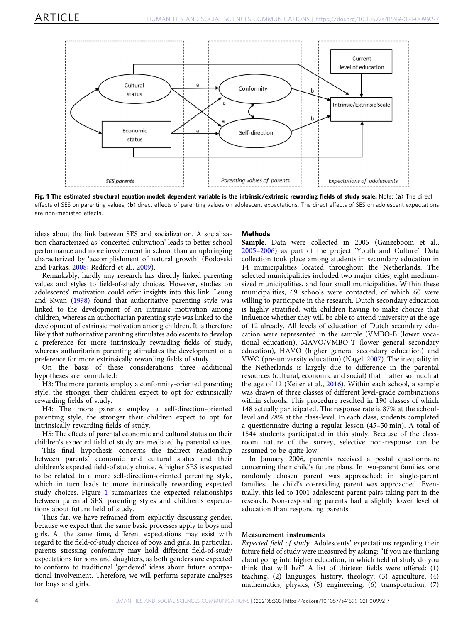<span id="page-4-0"></span>

Fig. 1 The estimated structural equation model; dependent variable is the intrinsic/extrinsic rewarding fields of study scale. Note: (a) The direct effects of SES on parenting values, (b) direct effects of parenting values on adolescent expectations. The direct effects of SES on adolescent expectations are non-mediated effects.

ideas about the link between SES and socialization. A socialization characterized as 'concerted cultivation' leads to better school performance and more involvement in school than an upbringing characterized by 'accomplishment of natural growth' (Bodovski and Farkas, [2008](#page-10-0); Redford et al., [2009\)](#page-10-0).

Remarkably, hardly any research has directly linked parenting values and styles to field-of-study choices. However, studies on adolescents' motivation could offer insights into this link. Leung and Kwan [\(1998\)](#page-10-0) found that authoritative parenting style was linked to the development of an intrinsic motivation among children, whereas an authoritarian parenting style was linked to the development of extrinsic motivation among children. It is therefore likely that authoritative parenting stimulates adolescents to develop a preference for more intrinsically rewarding fields of study, whereas authoritarian parenting stimulates the development of a preference for more extrinsically rewarding fields of study.

On the basis of these considerations three additional hypotheses are formulated:

H3: The more parents employ a conformity-oriented parenting style, the stronger their children expect to opt for extrinsically rewarding fields of study.

H4: The more parents employ a self-direction-oriented parenting style, the stronger their children expect to opt for intrinsically rewarding fields of study.

H5: The effects of parental economic and cultural status on their children's expected field of study are mediated by parental values.

This final hypothesis concerns the indirect relationship between parents' economic and cultural status and their children's expected field-of study choice. A higher SES is expected to be related to a more self-direction-oriented parenting style, which in turn leads to more intrinsically rewarding expected study choices. Figure 1 summarizes the expected relationships between parental SES, parenting styles and children's expectations about future field of study.

Thus far, we have refrained from explicitly discussing gender, because we expect that the same basic processes apply to boys and girls. At the same time, different expectations may exist with regard to the field-of-study choices of boys and girls. In particular, parents stressing conformity may hold different field-of-study expectations for sons and daughters, as both genders are expected to conform to traditional 'gendered' ideas about future occupational involvement. Therefore, we will perform separate analyses for boys and girls.

#### Methods

Sample. Data were collected in 2005 (Ganzeboom et al., [2005](#page-10-0)–[2006](#page-10-0)) as part of the project 'Youth and Culture'. Data collection took place among students in secondary education in 14 municipalities located throughout the Netherlands. The selected municipalities included two major cities, eight mediumsized municipalities, and four small municipalities. Within these municipalities, 69 schools were contacted, of which 60 were willing to participate in the research. Dutch secondary education is highly stratified, with children having to make choices that influence whether they will be able to attend university at the age of 12 already. All levels of education of Dutch secondary education were represented in the sample (VMBO-B (lower vocational education), MAVO/VMBO-T (lower general secondary education), HAVO (higher general secondary education) and VWO (pre-university education) (Nagel, [2007](#page-10-0)). The inequality in the Netherlands is largely due to difference in the parental resources (cultural, economic and social) that matter so much at the age of 12 (Keijer et al., [2016\)](#page-10-0). Within each school, a sample was drawn of three classes of different level-grade combinations within schools. This procedure resulted in 190 classes of which 148 actually participated. The response rate is 87% at the schoollevel and 78% at the class-level. In each class, students completed a questionnaire during a regular lesson (45–50 min). A total of 1544 students participated in this study. Because of the classroom nature of the survey, selective non-response can be assumed to be quite low.

In January 2006, parents received a postal questionnaire concerning their child's future plans. In two-parent families, one randomly chosen parent was approached; in single-parent families, the child's co-residing parent was approached. Eventually, this led to 1001 adolescent-parent pairs taking part in the research. Non-responding parents had a slightly lower level of education than responding parents.

## Measurement instruments

Expected field of study. Adolescents' expectations regarding their future field of study were measured by asking: "If you are thinking about going into higher education, in which field of study do you think that will be?" A list of thirteen fields were offered: (1) teaching, (2) languages, history, theology, (3) agriculture, (4) mathematics, physics, (5) engineering, (6) transportation, (7)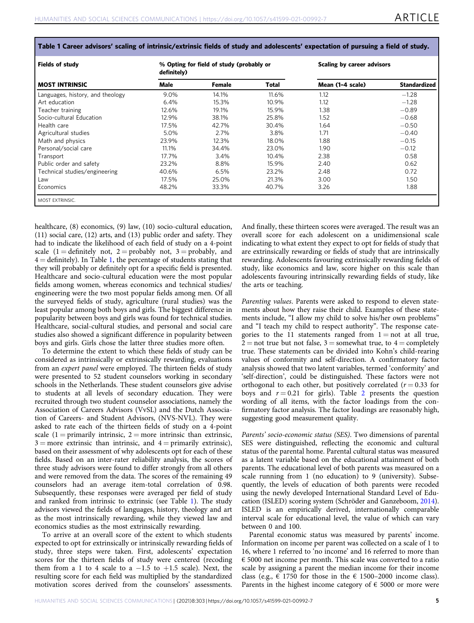| Table 1 Career advisors' scaling of intrinsic/extrinsic fields of study and adolescents' expectation of pursuing a field of study. |  |
|------------------------------------------------------------------------------------------------------------------------------------|--|
|------------------------------------------------------------------------------------------------------------------------------------|--|

| <b>Fields of study</b>           | definitely) | % Opting for field of study (probably or |       | Scaling by career advisors |                     |  |
|----------------------------------|-------------|------------------------------------------|-------|----------------------------|---------------------|--|
| <b>MOST INTRINSIC</b>            | Male        | Female                                   | Total | Mean (1-4 scale)           | <b>Standardized</b> |  |
| Languages, history, and theology | 9.0%        | 14.1%                                    | 11.6% | 1.12                       | $-1.28$             |  |
| Art education                    | 6.4%        | 15.3%                                    | 10.9% | 1.12                       | $-1.28$             |  |
| Teacher training                 | 12.6%       | 19.1%                                    | 15.9% | 1.38                       | $-0.89$             |  |
| Socio-cultural Education         | 12.9%       | 38.1%                                    | 25.8% | 1.52                       | $-0.68$             |  |
| Health care                      | 17.5%       | 42.7%                                    | 30.4% | 1.64                       | $-0.50$             |  |
| Agricultural studies             | 5.0%        | 2.7%                                     | 3.8%  | 1.71                       | $-0.40$             |  |
| Math and physics                 | 23.9%       | 12.3%                                    | 18.0% | 1.88                       | $-0.15$             |  |
| Personal/social care             | 11.1%       | 34.4%                                    | 23.0% | 1.90                       | $-0.12$             |  |
| Transport                        | 17.7%       | $3.4\%$                                  | 10.4% | 2.38                       | 0.58                |  |
| Public order and safety          | 23.2%       | 8.8%                                     | 15.9% | 2.40                       | 0.62                |  |
| Technical studies/engineering    | 40.6%       | 6.5%                                     | 23.2% | 2.48                       | 0.72                |  |
| Law                              | 17.5%       | 25.0%                                    | 21.3% | 3.00                       | 1.50                |  |
| Economics                        | 48.2%       | 33.3%                                    | 40.7% | 3.26                       | 1.88                |  |

healthcare, (8) economics, (9) law, (10) socio-cultural education, (11) social care, (12) arts, and (13) public order and safety. They had to indicate the likelihood of each field of study on a 4-point scale (1 = definitely not, 2 = probably not, 3 = probably, and  $4 =$  definitely). In Table 1, the percentage of students stating that they will probably or definitely opt for a specific field is presented. Healthcare and socio-cultural education were the most popular fields among women, whereas economics and technical studies/ engineering were the two most popular fields among men. Of all the surveyed fields of study, agriculture (rural studies) was the least popular among both boys and girls. The biggest difference in popularity between boys and girls was found for technical studies. Healthcare, social-cultural studies, and personal and social care studies also showed a significant difference in popularity between boys and girls. Girls chose the latter three studies more often.

To determine the extent to which these fields of study can be considered as intrinsically or extrinsically rewarding, evaluations from an expert panel were employed. The thirteen fields of study were presented to 52 student counselors working in secondary schools in the Netherlands. These student counselors give advise to students at all levels of secondary education. They were recruited through two student counselor associations, namely the Association of Careers Advisors (VvSL) and the Dutch Association of Careers- and Student Advisors, (NVS-NVL). They were asked to rate each of the thirteen fields of study on a 4-point scale  $(1 = \text{primarily intrinsic}, 2 = \text{more intrinsic than extrinsic},$  $3 =$  more extrinsic than intrinsic, and  $4 =$  primarily extrinsic), based on their assessment of why adolescents opt for each of these fields. Based on an inter-rater reliability analysis, the scores of three study advisors were found to differ strongly from all others and were removed from the data. The scores of the remaining 49 counselors had an average item-total correlation of 0.98. Subsequently, these responses were averaged per field of study and ranked from intrinsic to extrinsic (see Table 1). The study advisors viewed the fields of languages, history, theology and art as the most intrinsically rewarding, while they viewed law and economics studies as the most extrinsically rewarding.

To arrive at an overall score of the extent to which students expected to opt for extrinsically or intrinsically rewarding fields of study, three steps were taken. First, adolescents' expectation scores for the thirteen fields of study were centered (recoding them from a 1 to 4 scale to a  $-1.5$  to  $+1.5$  scale). Next, the resulting score for each field was multiplied by the standardized motivation scores derived from the counselors' assessments.

And finally, these thirteen scores were averaged. The result was an overall score for each adolescent on a unidimensional scale indicating to what extent they expect to opt for fields of study that are extrinsically rewarding or fields of study that are intrinsically rewarding. Adolescents favouring extrinsically rewarding fields of study, like economics and law, score higher on this scale than adolescents favouring intrinsically rewarding fields of study, like the arts or teaching.

Parenting values. Parents were asked to respond to eleven statements about how they raise their child. Examples of these statements include, "I allow my child to solve his/her own problems" and "I teach my child to respect authority". The response categories to the 11 statements ranged from  $1 = not$  at all true,  $2 =$  not true but not false,  $3 =$  somewhat true, to  $4 =$  completely true. These statements can be divided into Kohn's child-rearing values of conformity and self-direction. A confirmatory factor analysis showed that two latent variables, termed 'conformity' and 'self-direction', could be distinguished. These factors were not orthogonal to each other, but positively correlated ( $r = 0.33$  for boys and  $r = 0.21$  $r = 0.21$  $r = 0.21$  for girls). Table 2 presents the question wording of all items, with the factor loadings from the confirmatory factor analysis. The factor loadings are reasonably high, suggesting good measurement quality.

Parents' socio-economic status (SES). Two dimensions of parental SES were distinguished, reflecting the economic and cultural status of the parental home. Parental cultural status was measured as a latent variable based on the educational attainment of both parents. The educational level of both parents was measured on a scale running from 1 (no education) to 9 (university). Subsequently, the levels of education of both parents were recoded using the newly developed International Standard Level of Education (ISLED) scoring system (Schröder and Ganzeboom, [2014](#page-11-0)). ISLED is an empirically derived, internationally comparable interval scale for educational level, the value of which can vary between 0 and 100.

Parental economic status was measured by parents' income. Information on income per parent was collected on a scale of 1 to 16, where 1 referred to 'no income' and 16 referred to more than € 5000 net income per month. This scale was converted to a ratio scale by assigning a parent the median income for their income class (e.g.,  $\epsilon$  1750 for those in the  $\epsilon$  1500–2000 income class). Parents in the highest income category of  $\epsilon$  5000 or more were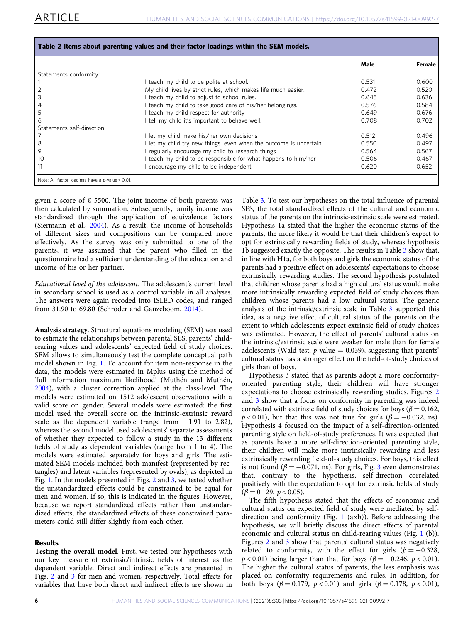<span id="page-6-0"></span>

|                            |                                                                   | Male  | Female |
|----------------------------|-------------------------------------------------------------------|-------|--------|
| Statements conformity:     |                                                                   |       |        |
|                            | I teach my child to be polite at school.                          | 0.531 | 0.600  |
|                            | My child lives by strict rules, which makes life much easier.     | 0.472 | 0.520  |
|                            | I teach my child to adjust to school rules.                       | 0.645 | 0.636  |
|                            | I teach my child to take good care of his/her belongings.         | 0.576 | 0.584  |
|                            | I teach my child respect for authority                            | 0.649 | 0.676  |
| 6                          | tell my child it's important to behave well.                      | 0.708 | 0.702  |
| Statements self-direction: |                                                                   |       |        |
|                            | I let my child make his/her own decisions                         | 0.512 | 0.496  |
| 8                          | I let my child try new things. even when the outcome is uncertain | 0.550 | 0.497  |
| 9                          | I regularly encourage my child to research things                 | 0.564 | 0.567  |
| 10                         | teach my child to be responsible for what happens to him/her      | 0.506 | 0.467  |
| 11                         | encourage my child to be independent                              | 0.620 | 0.652  |

given a score of  $\epsilon$  5500. The joint income of both parents was then calculated by summation. Subsequently, family income was standardized through the application of equivalence factors (Siermann et al., [2004\)](#page-11-0). As a result, the income of households of different sizes and compositions can be compared more effectively. As the survey was only submitted to one of the parents, it was assumed that the parent who filled in the questionnaire had a sufficient understanding of the education and income of his or her partner.

Educational level of the adolescent. The adolescent's current level in secondary school is used as a control variable in all analyses. The answers were again recoded into ISLED codes, and ranged from 31.90 to 69.80 (Schröder and Ganzeboom, [2014\)](#page-11-0).

Analysis strategy. Structural equations modeling (SEM) was used to estimate the relationships between parental SES, parents' childrearing values and adolescents' expected field of study choices. SEM allows to simultaneously test the complete conceptual path model shown in Fig. [1.](#page-4-0) To account for item non-response in the data, the models were estimated in Mplus using the method of 'full information maximum likelihood' (Muthén and Muthén, [2004\)](#page-10-0), with a cluster correction applied at the class-level. The models were estimated on 1512 adolescent observations with a valid score on gender. Several models were estimated: the first model used the overall score on the intrinsic-extrinsic reward scale as the dependent variable (range from −1.91 to 2.82), whereas the second model used adolescents' separate assessments of whether they expected to follow a study in the 13 different fields of study as dependent variables (range from 1 to 4). The models were estimated separately for boys and girls. The estimated SEM models included both manifest (represented by rectangles) and latent variables (represented by ovals), as depicted in Fig. [1](#page-4-0). In the models presented in Figs. [2](#page-7-0) and [3,](#page-7-0) we tested whether the unstandardized effects could be constrained to be equal for men and women. If so, this is indicated in the figures. However, because we report standardized effects rather than unstandardized effects, the standardized effects of these constrained parameters could still differ slightly from each other.

## Results

Testing the overall model. First, we tested our hypotheses with our key measure of extrinsic/intrinsic fields of interest as the dependent variable. Direct and indirect effects are presented in Figs. [2](#page-7-0) and [3](#page-7-0) for men and women, respectively. Total effects for variables that have both direct and indirect effects are shown in Table [3.](#page-8-0) To test our hypotheses on the total influence of parental SES, the total standardized effects of the cultural and economic status of the parents on the intrinsic-extrinsic scale were estimated. Hypothesis 1a stated that the higher the economic status of the parents, the more likely it would be that their children's expect to opt for extrinsically rewarding fields of study, whereas hypothesis 1b suggested exactly the opposite. The results in Table [3](#page-8-0) show that, in line with H1a, for both boys and girls the economic status of the parents had a positive effect on adolescents' expectations to choose extrinsically rewarding studies. The second hypothesis postulated that children whose parents had a high cultural status would make more intrinsically rewarding expected field of study choices than children whose parents had a low cultural status. The generic analysis of the intrinsic/extrinsic scale in Table [3](#page-8-0) supported this idea, as a negative effect of cultural status of the parents on the extent to which adolescents expect extrinsic field of study choices was estimated. However, the effect of parents' cultural status on the intrinsic/extrinsic scale were weaker for male than for female adolescents (Wald-test,  $p$ -value = 0.039), suggesting that parents' cultural status has a stronger effect on the field-of-study choices of girls than of boys.

Hypothesis 3 stated that as parents adopt a more conformityoriented parenting style, their children will have stronger expectations to choose extrinsically rewarding studies. Figures [2](#page-7-0) and [3](#page-7-0) show that a focus on conformity in parenting was indeed correlated with extrinsic field of study choices for boys ( $\beta = 0.162$ ,  $p < 0.01$ ), but that this was not true for girls ( $\beta = -0.032$ , ns). Hypothesis 4 focused on the impact of a self-direction-oriented parenting style on field-of-study preferences. It was expected that as parents have a more self-direction-oriented parenting style, their children will make more intrinsically rewarding and less extrinsically rewarding field-of-study choices. For boys, this effect is not found ( $\beta = -0.071$ , ns). For girls, Fig. [3](#page-7-0) even demonstrates that, contrary to the hypothesis, self-direction correlated positively with the expectation to opt for extrinsic fields of study  $(\beta = 0.129, p < 0.05)$ .

The fifth hypothesis stated that the effects of economic and cultural status on expected field of study were mediated by selfdirection and conformity (Fig. [1](#page-4-0) (a×b)). Before addressing the hypothesis, we will briefly discuss the direct effects of parental economic and cultural status on child-rearing values (Fig. [1](#page-4-0) (b)). Figures [2](#page-7-0) and [3](#page-7-0) show that parents' cultural status was negatively related to conformity, with the effect for girls ( $\beta = -0.328$ ,  $p < 0.01$ ) being larger than that for boys ( $\beta = -0.246$ ,  $p < 0.01$ ). The higher the cultural status of parents, the less emphasis was placed on conformity requirements and rules. In addition, for both boys ( $\beta = 0.179$ ,  $p < 0.01$ ) and girls ( $\beta = 0.178$ ,  $p < 0.01$ ),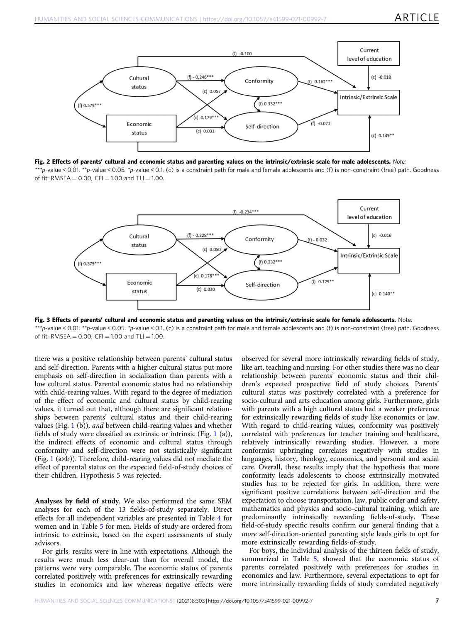<span id="page-7-0"></span>

Fig. 2 Effects of parents' cultural and economic status and parenting values on the intrinsic/extrinsic scale for male adolescents. Note: \*\*\*p-value < 0.01. \*\*p-value < 0.05. \*p-value < 0.1. (c) is a constraint path for male and female adolescents and (f) is non-constraint (free) path. Goodness of fit: RMSEA =  $0.00$ , CFI = 1.00 and TLI = 1.00.



Fig. 3 Effects of parents' cultural and economic status and parenting values on the intrinsic/extrinsic scale for female adolescents. Note: \*\*\*p-value < 0.01. \*\*p-value < 0.05. \*p-value < 0.1. (c) is a constraint path for male and female adolescents and (f) is non-constraint (free) path. Goodness of fit: RMSEA =  $0.00$ . CFI = 1.00 and TLI = 1.00.

there was a positive relationship between parents' cultural status and self-direction. Parents with a higher cultural status put more emphasis on self-direction in socialization than parents with a low cultural status. Parental economic status had no relationship with child-rearing values. With regard to the degree of mediation of the effect of economic and cultural status by child-rearing values, it turned out that, although there are significant relationships between parents' cultural status and their child-rearing values (Fig. [1](#page-4-0) (b)), and between child-rearing values and whether fields of study were classified as extrinsic or intrinsic (Fig. [1](#page-4-0) (a)), the indirect effects of economic and cultural status through conformity and self-direction were not statistically significant (Fig. [1](#page-4-0) (a×b)). Therefore, child-rearing values did not mediate the effect of parental status on the expected field-of-study choices of their children. Hypothesis 5 was rejected.

Analyses by field of study. We also performed the same SEM analyses for each of the 13 fields-of-study separately. Direct effects for all independent variables are presented in Table [4](#page-8-0) for women and in Table [5](#page-8-0) for men. Fields of study are ordered from intrinsic to extrinsic, based on the expert assessments of study advisors.

For girls, results were in line with expectations. Although the results were much less clear-cut than for overall model, the patterns were very comparable. The economic status of parents correlated positively with preferences for extrinsically rewarding studies in economics and law whereas negative effects were

observed for several more intrinsically rewarding fields of study, like art, teaching and nursing. For other studies there was no clear relationship between parents' economic status and their children's expected prospective field of study choices. Parents' cultural status was positively correlated with a preference for socio-cultural and arts education among girls. Furthermore, girls with parents with a high cultural status had a weaker preference for extrinsically rewarding fields of study like economics or law. With regard to child-rearing values, conformity was positively correlated with preferences for teacher training and healthcare, relatively intrinsically rewarding studies. However, a more conformist upbringing correlates negatively with studies in languages, history, theology, economics, and personal and social care. Overall, these results imply that the hypothesis that more conformity leads adolescents to choose extrinsically motivated studies has to be rejected for girls. In addition, there were significant positive correlations between self-direction and the expectation to choose transportation, law, public order and safety, mathematics and physics and socio-cultural training, which are predominantly intrinsically rewarding fields-of-study. These field-of-study specific results confirm our general finding that a more self-direction-oriented parenting style leads girls to opt for more extrinsically rewarding fields-of-study.

For boys, the individual analysis of the thirteen fields of study, summarized in Table [5](#page-8-0), showed that the economic status of parents correlated positively with preferences for studies in economics and law. Furthermore, several expectations to opt for more intrinsically rewarding fields of study correlated negatively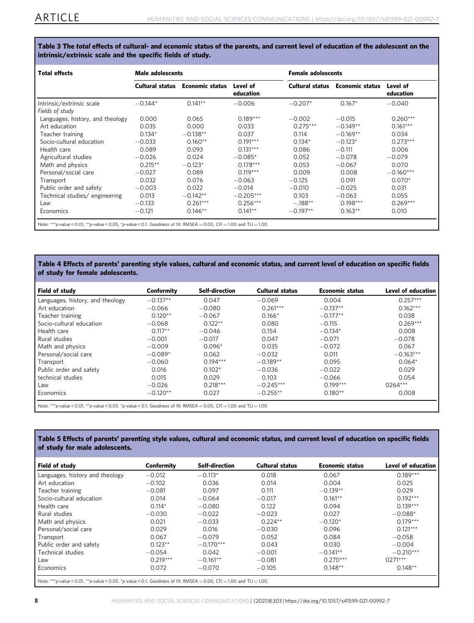<span id="page-8-0"></span>Table 3 The total effects of cultural- and economic status of the parents, and current level of education of the adolescent on the intrinsic/extrinsic scale and the specific fields of study.

| <b>Total effects</b>                                                                                                 | Male adolescents |                        |                       |                 | <b>Female adolescents</b> |                       |  |  |
|----------------------------------------------------------------------------------------------------------------------|------------------|------------------------|-----------------------|-----------------|---------------------------|-----------------------|--|--|
|                                                                                                                      | Cultural status  | <b>Economic status</b> | Level of<br>education | Cultural status | <b>Economic status</b>    | Level of<br>education |  |  |
| Intrinsic/extrinsic scale                                                                                            | $-0.144*$        | $0.141**$              | $-0.006$              | $-0.207*$       | $0.167*$                  | $-0.040$              |  |  |
| Fields of study                                                                                                      |                  |                        |                       |                 |                           |                       |  |  |
| Languages, history, and theology                                                                                     | 0.000            | 0.065                  | $0.189***$            | $-0.002$        | $-0.015$                  | $0.260***$            |  |  |
| Art education                                                                                                        | 0.035            | 0.000                  | 0.033                 | $0.275***$      | $-0.149**$                | $0.161***$            |  |  |
| Teacher training                                                                                                     | $0.134*$         | $-0.138**$             | 0.037                 | 0.114           | $-0.169**$                | 0.034                 |  |  |
| Socio-cultural education                                                                                             | $-0.033$         | $0.160**$              | $0.191***$            | $0.134*$        | $-0.123*$                 | $0.273***$            |  |  |
| Health care                                                                                                          | 0.089            | 0.093                  | $0.131***$            | 0.086           | $-0.111$                  | 0.006                 |  |  |
| Agricultural studies                                                                                                 | $-0.026$         | 0.024                  | $-0.085*$             | 0.052           | $-0.078$                  | $-0.079$              |  |  |
| Math and physics                                                                                                     | $0.215**$        | $-0.123*$              | $0.178***$            | 0.053           | $-0.067$                  | 0.070                 |  |  |
| Personal/social care                                                                                                 | $-0.027$         | 0.089                  | $0.119***$            | 0.009           | 0.008                     | $-0.160***$           |  |  |
| Transport                                                                                                            | 0.032            | 0.076                  | $-0.063$              | $-0.125$        | 0.091                     | $0.070*$              |  |  |
| Public order and safety                                                                                              | $-0.003$         | 0.022                  | $-0.014$              | $-0.010$        | $-0.025$                  | 0.031                 |  |  |
| Technical studies/ engineering                                                                                       | 0.013            | $-0.142**$             | $-0.205***$           | 0.103           | $-0.063$                  | 0.055                 |  |  |
| Law                                                                                                                  | $-0.133$         | $0.261***$             | $0.256***$            | $-.188**$       | $0.198***$                | $0.269***$            |  |  |
| Economics                                                                                                            | $-0.121$         | $0.146**$              | $0.141**$             | $-0.197**$      | $0.163**$                 | 0.010                 |  |  |
| Note: ***p-value < 0.01, **p-value < 0.05, *p-value < 0.1. Goodness of fit: RMSEA = 0.00, CFI = 1.00 and TLI = 1.00. |                  |                        |                       |                 |                           |                       |  |  |

## Table 4 Effects of parents' parenting style values, cultural and economic status, and current level of education on specific fields of study for female adolescents.

| Field of study                                                                                                      | Conformity | <b>Self-direction</b> | <b>Cultural status</b> | <b>Economic status</b> | Level of education |  |
|---------------------------------------------------------------------------------------------------------------------|------------|-----------------------|------------------------|------------------------|--------------------|--|
| Languages, history, and theology                                                                                    | $-0.137**$ | 0.047                 | $-0.069$               | 0.004                  | $0.257***$         |  |
| Art education                                                                                                       | $-0.066$   | $-0.080$              | $0.261***$             | $-0.137**$             | $0.162***$         |  |
| Teacher training                                                                                                    | $0.120**$  | $-0.067$              | $0.166*$               | $-0.177**$             | 0.038              |  |
| Socio-cultural education                                                                                            | $-0.068$   | $0.122**$             | 0.080                  | $-0.115$               | $0.269***$         |  |
| Health care                                                                                                         | $0.117***$ | $-0.046$              | 0.154                  | $-0.134*$              | 0.008              |  |
| Rural studies                                                                                                       | $-0.001$   | $-0.017$              | 0.047                  | $-0.071$               | $-0.078$           |  |
| Math and physics                                                                                                    | $-0.009$   | $0.096*$              | 0.035                  | $-0.072$               | 0.067              |  |
| Personal/social care                                                                                                | $-0.089*$  | 0.062                 | $-0.032$               | 0.011                  | $-0.163***$        |  |
| Transport                                                                                                           | $-0.060$   | $0.194***$            | $-0.189**$             | 0.095                  | $0.064*$           |  |
| Public order and safety                                                                                             | 0.016      | $0.102*$              | $-0.036$               | $-0.022$               | 0.029              |  |
| technical studies                                                                                                   | 0.015      | 0.029                 | 0.103                  | $-0.066$               | 0.054              |  |
| Law                                                                                                                 | $-0.026$   | $0.218***$            | $-0.245***$            | $0.199***$             | 0264***            |  |
| Economics                                                                                                           | $-0.120**$ | 0.027                 | $-0.255**$             | $0.180**$              | 0.008              |  |
| Note: ***p-value < 0.01. **p-value < 0.05. *p-value < 0.1. Goodness of fit: RMSEA = 0.00, CFI = 1.00 and TLI = 1.00 |            |                       |                        |                        |                    |  |

## Table 5 Effects of parents' parenting style values, cultural and economic status, and current level of education on specific fields of study for male adolescents.

| Field of study                                                                                                       | Conformity | <b>Self-direction</b> | <b>Cultural status</b> | <b>Economic status</b> | Level of education |  |
|----------------------------------------------------------------------------------------------------------------------|------------|-----------------------|------------------------|------------------------|--------------------|--|
| Languages, history and theology                                                                                      | $-0.012$   | $-0.113*$             | 0.018                  | 0.067                  | $0.189***$         |  |
| Art education                                                                                                        | $-0.102$   | 0.036                 | 0.014                  | 0.004                  | 0.025              |  |
| Teacher training                                                                                                     | $-0.081$   | 0.097                 | 0.111                  | $-0.139**$             | 0.029              |  |
| Socio-cultural education                                                                                             | 0.014      | $-0.064$              | $-0.017$               | $0.161**$              | $0.192***$         |  |
| Health care                                                                                                          | $0.114*$   | $-0.080$              | 0.122                  | 0.094                  | $0.139***$         |  |
| Rural studies                                                                                                        | $-0.030$   | $-0.022$              | $-0.023$               | 0.027                  | $-0.088*$          |  |
| Math and physics                                                                                                     | 0.021      | $-0.033$              | $0.224**$              | $-0.120*$              | $0.179***$         |  |
| Personal/social care                                                                                                 | 0.029      | 0.016                 | $-0.030$               | 0.096                  | $0.121***$         |  |
| Transport                                                                                                            | 0.067      | $-0.079$              | 0.052                  | 0.084                  | $-0.058$           |  |
| Public order and safety                                                                                              | $0.123**$  | $-0.170***$           | 0.043                  | 0.030                  | $-0.004$           |  |
| Technical studies                                                                                                    | $-0.054$   | 0.042                 | $-0.001$               | $-0.141**$             | $-0.210***$        |  |
| Law                                                                                                                  | $0.219***$ | $-0.161**$            | $-0.081$               | $0.270***$             | $0271***$          |  |
| Economics                                                                                                            | 0.072      | $-0.070$              | $-0.105$               | $0.148**$              | $0.148**$          |  |
| Note: ***p-value < 0.01. **p-value < 0.05. *p-value < 0.1. Goodness of fit: RMSEA = 0.00, CFI = 1.00 and TLI = 1.00. |            |                       |                        |                        |                    |  |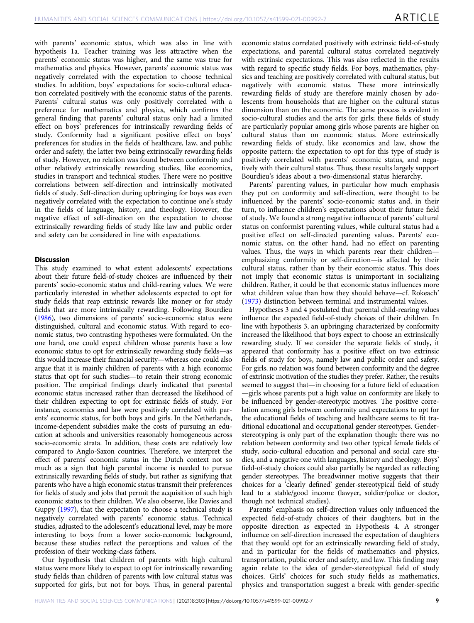with parents' economic status, which was also in line with hypothesis 1a. Teacher training was less attractive when the parents' economic status was higher, and the same was true for mathematics and physics. However, parents' economic status was negatively correlated with the expectation to choose technical studies. In addition, boys' expectations for socio-cultural education correlated positively with the economic status of the parents. Parents' cultural status was only positively correlated with a preference for mathematics and physics, which confirms the general finding that parents' cultural status only had a limited effect on boys' preferences for intrinsically rewarding fields of study. Conformity had a significant positive effect on boys' preferences for studies in the fields of healthcare, law, and public order and safety, the latter two being extrinsically rewarding fields of study. However, no relation was found between conformity and other relatively extrinsically rewarding studies, like economics, studies in transport and technical studies. There were no positive correlations between self-direction and intrinsically motivated fields of study. Self-direction during upbringing for boys was even negatively correlated with the expectation to continue one's study in the fields of language, history, and theology. However, the negative effect of self-direction on the expectation to choose extrinsically rewarding fields of study like law and public order and safety can be considered in line with expectations.

## **Discussion**

This study examined to what extent adolescents' expectations about their future field-of-study choices are influenced by their parents' socio-economic status and child-rearing values. We were particularly interested in whether adolescents expected to opt for study fields that reap extrinsic rewards like money or for study fields that are more intrinsically rewarding. Following Bourdieu ([1986\)](#page-10-0), two dimensions of parents' socio-economic status were distinguished, cultural and economic status. With regard to economic status, two contrasting hypotheses were formulated. On the one hand, one could expect children whose parents have a low economic status to opt for extrinsically rewarding study fields—as this would increase their financial security—whereas one could also argue that it is mainly children of parents with a high economic status that opt for such studies—to retain their strong economic position. The empirical findings clearly indicated that parental economic status increased rather than decreased the likelihood of their children expecting to opt for extrinsic fields of study. For instance, economics and law were positively correlated with parents' economic status, for both boys and girls. In the Netherlands, income-dependent subsidies make the costs of pursuing an education at schools and universities reasonably homogeneous across socio-economic strata. In addition, these costs are relatively low compared to Anglo-Saxon countries. Therefore, we interpret the effect of parents' economic status in the Dutch context not so much as a sign that high parental income is needed to pursue extrinsically rewarding fields of study, but rather as signifying that parents who have a high economic status transmit their preferences for fields of study and jobs that permit the acquisition of such high economic status to their children. We also observe, like Davies and Guppy [\(1997](#page-10-0)), that the expectation to choose a technical study is negatively correlated with parents' economic status. Technical studies, adjusted to the adolescent's educational level, may be more interesting to boys from a lower socio-economic background, because these studies reflect the perceptions and values of the profession of their working-class fathers.

Our hypothesis that children of parents with high cultural status were more likely to expect to opt for intrinsically rewarding study fields than children of parents with low cultural status was supported for girls, but not for boys. Thus, in general parental economic status correlated positively with extrinsic field-of-study expectations, and parental cultural status correlated negatively with extrinsic expectations. This was also reflected in the results with regard to specific study fields. For boys, mathematics, physics and teaching are positively correlated with cultural status, but negatively with economic status. These more intrinsically rewarding fields of study are therefore mainly chosen by adolescents from households that are higher on the cultural status dimension than on the economic. The same process is evident in socio-cultural studies and the arts for girls; these fields of study are particularly popular among girls whose parents are higher on cultural status than on economic status. More extrinsically rewarding fields of study, like economics and law, show the opposite pattern: the expectation to opt for this type of study is positively correlated with parents' economic status, and negatively with their cultural status. Thus, these results largely support Bourdieu's ideas about a two-dimensional status hierarchy.

Parents' parenting values, in particular how much emphasis they put on conformity and self-direction, were thought to be influenced by the parents' socio-economic status and, in their turn, to influence children's expectations about their future field of study. We found a strong negative influence of parents' cultural status on conformist parenting values, while cultural status had a positive effect on self-directed parenting values. Parents' economic status, on the other hand, had no effect on parenting values. Thus, the ways in which parents rear their children emphasizing conformity or self-direction—is affected by their cultural status, rather than by their economic status. This does not imply that economic status is unimportant in socializing children. Rather, it could be that economic status influences more what children value than how they should behave—cf. Rokeach' ([1973](#page-10-0)) distinction between terminal and instrumental values.

Hypotheses 3 and 4 postulated that parental child-rearing values influence the expected field-of-study choices of their children. In line with hypothesis 3, an upbringing characterized by conformity increased the likelihood that boys expect to choose an extrinsically rewarding study. If we consider the separate fields of study, it appeared that conformity has a positive effect on two extrinsic fields of study for boys, namely law and public order and safety. For girls, no relation was found between conformity and the degree of extrinsic motivation of the studies they prefer. Rather, the results seemed to suggest that—in choosing for a future field of education —girls whose parents put a high value on conformity are likely to be influenced by gender-stereotypic motives. The positive correlation among girls between conformity and expectations to opt for the educational fields of teaching and healthcare seems to fit traditional educational and occupational gender stereotypes. Genderstereotyping is only part of the explanation though: there was no relation between conformity and two other typical female fields of study, socio-cultural education and personal and social care studies, and a negative one with languages, history and theology. Boys' field-of-study choices could also partially be regarded as reflecting gender stereotypes. The breadwinner motive suggests that their choices for a 'clearly defined' gender-stereotypical field of study lead to a stable/good income (lawyer, soldier/police or doctor, though not technical studies).

Parents' emphasis on self-direction values only influenced the expected field-of-study choices of their daughters, but in the opposite direction as expected in Hypothesis 4. A stronger influence on self-direction increased the expectation of daughters that they would opt for an extrinsically rewarding field of study, and in particular for the fields of mathematics and physics, transportation, public order and safety, and law. This finding may again relate to the idea of gender-stereotypical field of study choices. Girls' choices for such study fields as mathematics, physics and transportation suggest a break with gender-specific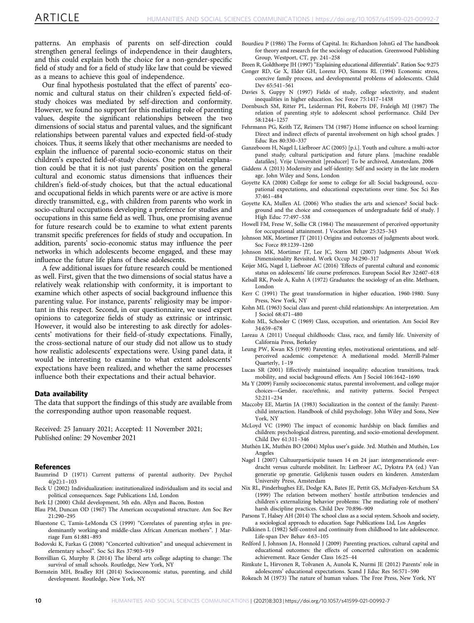<span id="page-10-0"></span>patterns. An emphasis of parents on self-direction could strengthen general feelings of independence in their daughters, and this could explain both the choice for a non-gender-specific field of study and for a field of study like law that could be viewed as a means to achieve this goal of independence.

Our final hypothesis postulated that the effect of parents' economic and cultural status on their children's expected field-ofstudy choices was mediated by self-direction and conformity. However, we found no support for this mediating role of parenting values, despite the significant relationships between the two dimensions of social status and parental values, and the significant relationships between parental values and expected field-of-study choices. Thus, it seems likely that other mechanisms are needed to explain the influence of parental socio-economic status on their children's expected field-of-study choices. One potential explanation could be that it is not just parents' position on the general cultural and economic status dimensions that influences their children's field-of-study choices, but that the actual educational and occupational fields in which parents were or are active is more directly transmitted, e.g., with children from parents who work in socio-cultural occupations developing a preference for studies and occupations in this same field as well. Thus, one promising avenue for future research could be to examine to what extent parents transmit specific preferences for fields of study and occupation. In addition, parents' socio-economic status may influence the peer networks in which adolescents become engaged, and these may influence the future life plans of these adolescents.

A few additional issues for future research could be mentioned as well. First, given that the two dimensions of social status have a relatively weak relationship with conformity, it is important to examine which other aspects of social background influence this parenting value. For instance, parents' religiosity may be important in this respect. Second, in our questionnaire, we used expert opinions to categorize fields of study as extrinsic or intrinsic. However, it would also be interesting to ask directly for adolescents' motivations for their field-of-study expectations. Finally, the cross-sectional nature of our study did not allow us to study how realistic adolescents' expectations were. Using panel data, it would be interesting to examine to what extent adolescents' expectations have been realized, and whether the same processes influence both their expectations and their actual behavior.

#### Data availability

The data that support the findings of this study are available from the corresponding author upon reasonable request.

Received: 25 January 2021; Accepted: 11 November 2021; Published online: 29 November 2021

#### **References**

- Baumrind D (1971) Current patterns of parental authority. Dev Psychol 4(p2):1–103
- Beck U (2002) Individualization: institutionalized individualism and its social and political consequences. Sage Publications Ltd, London
- Berk LJ (2000) Child development, 5th edn. Allyn and Bacon, Boston
- Blau PM, Duncan OD (1967) The American occupational structure. Am Soc Rev 21:290–295
- Bluestone C, Tamis-LeMonda CS (1999) "Correlates of parenting styles in predominantly working-and middle-class African American mothers". J Marriage Fam 61:881–893
- Bodovski K, Farkas G (2008) "Concerted cultivation" and unequal achievement in elementary school". Soc Sci Res 37:903–919
- Bonvillian G, Murphy R (2014) The liberal arts college adapting to change: The survival of small schools. Routledge, New York, NY
- Bornstein MH, Bradley RH (2014) Socioeconomic status, parenting, and child development. Routledge, New York, NY

Bourdieu P (1986) The Forms of Capital. In: Richardson JohnG ed The handbook for theory and research for the sociology of education. Greenwood Publishing Group, Westport, CT, pp. 241–258

Breen R, Goldthorpe JH (1997) "Explaining educational differentials". Ration Soc 9:275

- Conger RD, Ge X, Elder GH, Lorenz FO, Simons RL (1994) Economic stress, coercive family process, and developmental problems of adolescents. Child Dev 65:541–561
- Davies S, Guppy N (1997) Fields of study, college selectivity, and student inequalities in higher education. Soc Force 75:1417–1438
- Dornbusch SM, Ritter PL, Leiderman PH, Roberts DF, Fraleigh MJ (1987) The relation of parenting style to adolescent school performance. Child Dev 58:1244–1257
- Fehrmann PG, Keith TZ, Reimers TM (1987) Home influence on school learning: Direct and indirect effects of parental involvement on high school grades. J Educ Res 80:330–337
- Ganzeboom H, Nagel I, Liefbroer AC (2005) [p.i.]. Youth and culture. a multi-actor panel study; cultural participation and future plans. [machine readable datafiles]. Vrije Universiteit [producer] To be archived, Amsterdam, 2006
- Giddens A (2013) Modernity and self-identity: Self and society in the late modern age. John Wiley and Sons, London
- Goyette KA (2008) College for some to college for all: Social background, occupational expectations, and educational expectations over time. Soc Sci Res 37:461–484
- Goyette KA, Mullen AL (2006) Who studies the arts and sciences? Social background and the choice and consequences of undergraduate field of study. J High Educ 77:497–538
- Howell FM, Frese W, Sollie CR (1984) The measurement of perceived opportunity for occupational attainment. J Vocation Behav 25:325–343
- Johnson MK, Mortimer JT (2011) Origins and outcomes of judgments about work. Soc Force 89:1239–1260
- Johnson MK, Mortimer JT, Lee JC, Stern MJ (2007) Judgments About Work Dimensionality Revisited. Work Occup 34:290–317
- Keijer MG, Nagel I, Liefbroer AC (2016) 'Effects of parental cultural and economic status on adolescents' life course preferences. European Sociol Rev 32:607–618

Kelsall RK, Poole A, Kuhn A (1972) Graduates: the sociology of an elite. Methuen, London

- Kerr C (1991) The great transformation in higher education, 1960-1980. Suny Press, New York, NY
- Kohn ML (1963) Social class and parent-child relationships: An interpretation. Am J Sociol 68:471–480
- Kohn ML, Schooler C (1969) Class, occupation, and orientation. Am Sociol Rev 34:659–678
- Lareau A (2011) Unequal childhoods: Class, race, and family life. University of California Press, Berkeley
- Leung PW, Kwan KS (1998) Parenting styles, motivational orientations, and selfperceived academic competence: A mediational model. Merrill-Palmer Quarterly, 1–19
- Lucas SR (2001) Effectively maintained inequality: education transitions, track mobility, and social background effects. Am J Sociol 106:1642–1690
- Ma Y (2009) Family socioeconomic status, parental involvement, and college major choices—Gender, race/ethnic, and nativity patterns. Sociol Perspect 52:211–234
- Maccoby EE, Martin JA (1983) Socialization in the context of the family: Parentchild interaction. Handbook of child psychology. John Wiley and Sons, New York, NY
- McLoyd VC (1990) The impact of economic hardship on black families and children: psychological distress, parenting, and socio-emotional development. Child Dev 61:311–346
- Muthén LK, Muthén BO (2004) Mplus user's guide. 3rd. Muthén and Muthén, Los Angeles
- Nagel I (2007) Cultuurparticipatie tussen 14 en 24 jaar: intergenerationele overdracht versus culturele mobiliteit. In: Liefbroer AC, Dykstra PA (ed.) Van generatie op generatie. Gelijkenis tussen ouders en kinderen. Amsterdam University Press, Amsterdam
- Nix RL, Pinderhughes EE, Dodge KA, Bates JE, Pettit GS, McFadyen‐Ketchum SA (1999) The relation between mothers' hostile attribution tendencies and children's externalizing behavior problems: The mediating role of mothers' harsh discipline practices. Child Dev 70:896–909
- Parsons T, Halsey AH (2014) The school class as a social system. Schools and society, a sociological approach to education. Sage Publications Ltd, Los Angeles
- Pulkkinen L (1982) Self-control and continuity from childhood to late adolescence. Life-span Dev Behav 4:63–105
- Redford J, Johnson JA, Honnold J (2009) Parenting practices, cultural capital and educational outcomes: the effects of concerted cultivation on academic achievement. Race Gender Class 16:25–44
- Rimkute L, Hirvonen R, Tolvanen A, Aunola K, Nurmi JE (2012) Parents' role in adolescents' educational expectations. Scand J Educ Res 56:571–590
- Rokeach M (1973) The nature of human values. The Free Press, New York, NY